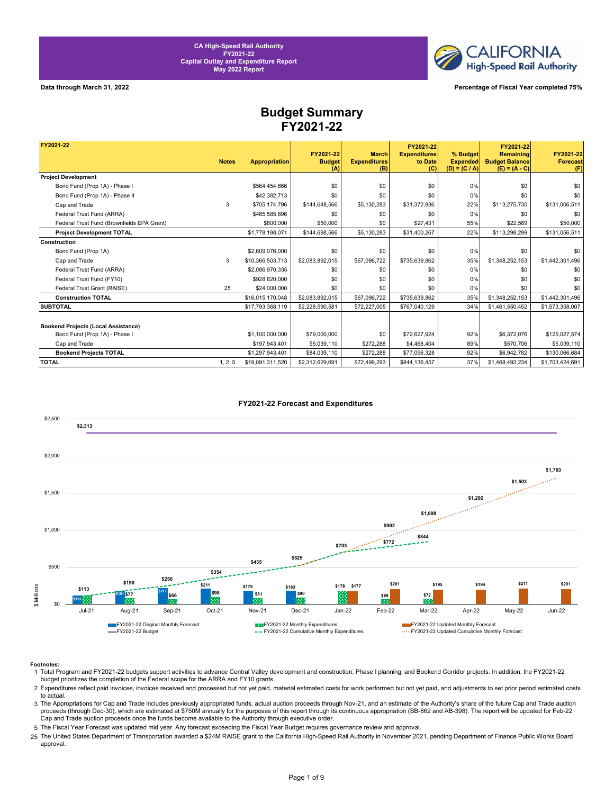

**Data through March 31, 2022 Percentage of Fiscal Year completed 75%**

### **Budget Summary FY2021-22**

| FY2021-22                                  |              |                      |                                   |                                            | FY2021-22                             |                                                | FY2021-22                                             |                                     |
|--------------------------------------------|--------------|----------------------|-----------------------------------|--------------------------------------------|---------------------------------------|------------------------------------------------|-------------------------------------------------------|-------------------------------------|
|                                            | <b>Notes</b> | <b>Appropriation</b> | FY2021-22<br><b>Budget</b><br>(A) | <b>March</b><br><b>Expenditures</b><br>(B) | <b>Expenditures</b><br>to Date<br>(C) | % Budget<br><b>Expended</b><br>$(D) = (C / A)$ | Remaining<br><b>Budget Balance</b><br>$(E) = (A - C)$ | FY2021-22<br><b>Forecast</b><br>(F) |
| <b>Project Development</b>                 |              |                      |                                   |                                            |                                       |                                                |                                                       |                                     |
| Bond Fund (Prop 1A) - Phase I              |              | \$564,454,666        | \$0                               | \$0                                        | \$0                                   | 0%                                             | \$0                                                   | \$0                                 |
| Bond Fund (Prop 1A) - Phase II             |              | \$42,382,713         | \$0                               | \$0                                        | \$0                                   | 0%                                             | \$0                                                   | \$0                                 |
| Cap and Trade                              | 3            | \$705,174,796        | \$144,648,566                     | \$5,130,283                                | \$31,372,836                          | 22%                                            | \$113,275,730                                         | \$131,006,511                       |
| Federal Trust Fund (ARRA)                  |              | \$465,585,896        | \$0                               | \$0                                        | \$0                                   | 0%                                             | \$0                                                   | \$0                                 |
| Federal Trust Fund (Brownfields EPA Grant) |              | \$600,000            | \$50,000                          | \$0                                        | \$27,431                              | 55%                                            | \$22,569                                              | \$50,000                            |
| <b>Project Development TOTAL</b>           |              | \$1,778,198,071      | \$144,698,566                     | \$5,130,283                                | \$31,400,267                          | 22%                                            | \$113,298,299                                         | \$131,056,511                       |
| Construction                               |              |                      |                                   |                                            |                                       |                                                |                                                       |                                     |
| Bond Fund (Prop 1A)                        |              | \$2,609,076,000      | \$0                               | \$0                                        | \$0                                   | 0%                                             | \$0                                                   | \$0                                 |
| Cap and Trade                              | 3            | \$10,366,503,713     | \$2,083,892,015                   | \$67,096,722                               | \$735,639,862                         | 35%                                            | \$1,348,252,153                                       | \$1,442,301,496                     |
| Federal Trust Fund (ARRA)                  |              | \$2.086.970.335      | \$0                               | \$0                                        | \$0                                   | 0%                                             | \$0                                                   | \$0                                 |
| Federal Trust Fund (FY10)                  |              | \$928,620,000        | \$0                               | \$0                                        | \$0                                   | 0%                                             | \$0                                                   | \$0                                 |
| Federal Trust Grant (RAISE)                | 25           | \$24,000,000         | \$0                               | \$0                                        | \$0                                   | 0%                                             | \$0                                                   | \$0                                 |
| <b>Construction TOTAL</b>                  |              | \$16,015,170,048     | \$2,083,892,015                   | \$67,096,722                               | \$735,639,862                         | 35%                                            | \$1,348,252,153                                       | \$1,442,301,496                     |
| <b>SUBTOTAL</b>                            |              | \$17,793,368,119     | \$2,228,590,581                   | \$72,227,005                               | \$767,040,129                         | 34%                                            | \$1,461,550,452                                       | \$1,573,358,007                     |
|                                            |              |                      |                                   |                                            |                                       |                                                |                                                       |                                     |
| <b>Bookend Projects (Local Assistance)</b> |              |                      |                                   |                                            |                                       |                                                |                                                       |                                     |
| Bond Fund (Prop 1A) - Phase I              |              | \$1,100,000,000      | \$79,000,000                      | \$0                                        | \$72.627.924                          | 92%                                            | \$6,372,076                                           | \$125.027.574                       |
| Cap and Trade                              |              | \$197.943.401        | \$5,039,110                       | \$272,288                                  | \$4,468,404                           | 89%                                            | \$570,706                                             | \$5,039,110                         |
| <b>Bookend Projects TOTAL</b>              |              | \$1,297,943,401      | \$84,039,110                      | \$272,288                                  | \$77,096,328                          | 92%                                            | \$6,942,782                                           | \$130,066,684                       |
| <b>TOTAL</b>                               | 1, 2, 5      | \$19,091,311,520     | \$2,312,629,691                   | \$72,499,293                               | \$844,136,457                         | 37%                                            | \$1,468,493,234                                       | \$1,703,424,691                     |



### FY2021-22 Forecast and Expenditures

### **Footnotes:**

- 1 Total Program and FY2021-22 budgets support activities to advance Central Valley development and construction, Phase I planning, and Bookend Corridor projects. In addition, the FY2021-22 budget prioritizes the completion of the Federal scope for the ARRA and FY10 grants.
- 2 Expenditures reflect paid invoices, invoices received and processed but not yet paid, material estimated costs for work performed but not yet paid, and adjustments to set prior period estimated costs to actual.
- 3 The Appropriations for Cap and Trade includes previously appropriated funds, actual auction proceeds through Nov-21, and an estimate of the Authority's share of the future Cap and Trade auction proceeds (through Dec-30), which are estimated at \$750M annually for the purposes of this report through its continuous appropriation (SB-862 and AB-398). The report will be updated for Feb-22 Cap and Trade auction proceeds once the funds become available to the Authority through executive order.
- 5 The Fiscal Year Forecast was updated mid year. Any forecast exceeding the Fiscal Year Budget requires governance review and approval.
- 25 The United States Department of Transportation awarded a \$24M RAISE grant to the California High-Speed Rail Authority in November 2021, pending Department of Finance Public Works Board approval.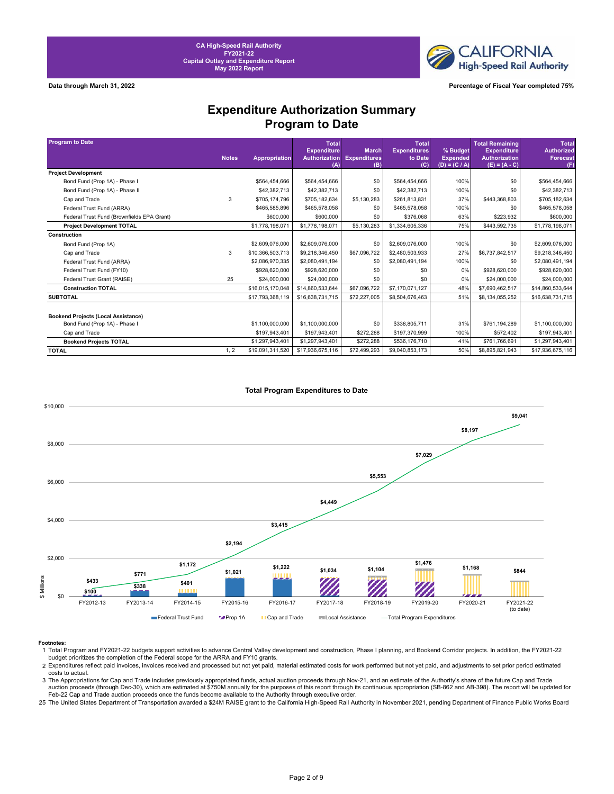**CALIFORNIA High-Speed Rail Authority** 

**Data through March 31, 2022 Percentage of Fiscal Year completed 75%**

### **Expenditure Authorization Summary Program to Date**

| <b>Program to Date</b>                     |              |                  | <b>Total</b>                               |                                     | <b>Total</b>                   |                             | <b>Total Remaining</b>                     | <b>Total</b>                         |
|--------------------------------------------|--------------|------------------|--------------------------------------------|-------------------------------------|--------------------------------|-----------------------------|--------------------------------------------|--------------------------------------|
|                                            | <b>Notes</b> | Appropriation    | <b>Expenditure</b><br><b>Authorization</b> | <b>March</b><br><b>Expenditures</b> | <b>Expenditures</b><br>to Date | % Budget<br><b>Expended</b> | <b>Expenditure</b><br><b>Authorization</b> | <b>Authorized</b><br><b>Forecast</b> |
|                                            |              |                  | (A)                                        | (B)                                 | (C)                            | $(D) = (C / A)$             | $(E) = (A - C)$                            | (F)                                  |
| <b>Project Development</b>                 |              |                  |                                            |                                     |                                |                             |                                            |                                      |
| Bond Fund (Prop 1A) - Phase I              |              | \$564.454.666    | \$564,454,666                              | \$0                                 | \$564.454.666                  | 100%                        | \$0                                        | \$564,454,666                        |
| Bond Fund (Prop 1A) - Phase II             |              | \$42,382,713     | \$42,382,713                               | \$0                                 | \$42,382,713                   | 100%                        | \$0                                        | \$42,382,713                         |
| Cap and Trade                              | 3            | \$705.174.796    | \$705,182,634                              | \$5,130,283                         | \$261,813,831                  | 37%                         | \$443,368,803                              | \$705,182,634                        |
| Federal Trust Fund (ARRA)                  |              | \$465,585,896    | \$465,578,058                              | \$0                                 | \$465,578,058                  | 100%                        | \$0                                        | \$465,578,058                        |
| Federal Trust Fund (Brownfields EPA Grant) |              | \$600,000        | \$600,000                                  | \$0                                 | \$376,068                      | 63%                         | \$223,932                                  | \$600,000                            |
| <b>Project Development TOTAL</b>           |              | \$1,778,198,071  | \$1,778,198,071                            | \$5,130,283                         | \$1,334,605,336                | 75%                         | \$443,592,735                              | \$1,778,198,071                      |
| Construction                               |              |                  |                                            |                                     |                                |                             |                                            |                                      |
| Bond Fund (Prop 1A)                        |              | \$2,609,076,000  | \$2,609,076,000                            | \$0                                 | \$2,609,076,000                | 100%                        | \$0                                        | \$2,609,076,000                      |
| Cap and Trade                              | 3            | \$10,366,503,713 | \$9,218,346,450                            | \$67,096,722                        | \$2,480,503,933                | 27%                         | \$6,737,842,517                            | \$9,218,346,450                      |
| Federal Trust Fund (ARRA)                  |              | \$2,086,970,335  | \$2,080,491,194                            | \$0                                 | \$2,080,491,194                | 100%                        | \$0                                        | \$2,080,491,194                      |
| Federal Trust Fund (FY10)                  |              | \$928,620,000    | \$928,620,000                              | \$0                                 | \$0                            | 0%                          | \$928,620,000                              | \$928,620,000                        |
| Federal Trust Grant (RAISE)                | 25           | \$24,000,000     | \$24,000,000                               | \$0                                 | \$0                            | 0%                          | \$24,000,000                               | \$24,000,000                         |
| <b>Construction TOTAL</b>                  |              | \$16,015,170,048 | \$14,860,533,644                           | \$67,096,722                        | \$7,170,071,127                | 48%                         | \$7,690,462,517                            | \$14,860,533,644                     |
| <b>SUBTOTAL</b>                            |              | \$17,793,368,119 | \$16,638,731,715                           | \$72,227,005                        | \$8,504,676,463                | 51%                         | \$8,134,055,252                            | \$16,638,731,715                     |
|                                            |              |                  |                                            |                                     |                                |                             |                                            |                                      |
| <b>Bookend Projects (Local Assistance)</b> |              |                  |                                            |                                     |                                |                             |                                            |                                      |
| Bond Fund (Prop 1A) - Phase I              |              | \$1,100,000,000  | \$1,100,000,000                            | \$0                                 | \$338,805,711                  | 31%                         | \$761,194,289                              | \$1,100,000,000                      |
| Cap and Trade                              |              | \$197,943,401    | \$197,943,401                              | \$272,288                           | \$197,370,999                  | 100%                        | \$572,402                                  | \$197,943,401                        |
| <b>Bookend Projects TOTAL</b>              |              | \$1,297,943,401  | \$1,297,943,401                            | \$272,288                           | \$536,176,710                  | 41%                         | \$761,766,691                              | \$1,297,943,401                      |
| <b>TOTAL</b>                               | 1, 2         | \$19,091,311,520 | \$17,936,675,116                           | \$72,499,293                        | \$9,040,853,173                | 50%                         | \$8,895,821,943                            | \$17,936,675,116                     |



### **Total Program Expenditures to Date**

3 The Appropriations for Cap and Trade includes previously appropriated funds, actual auction proceeds through Nov-21, and an estimate of the Authority's share of the future Cap and Trade auction proceeds (through Dec-30), which are estimated at \$750M annually for the purposes of this report through its continuous appropriation (SB-862 and AB-398). The report will be updated for Feb-22 Cap and Trade auction proceeds once the funds become available to the Authority through executive order.

25 The United States Department of Transportation awarded a \$24M RAISE grant to the California High-Speed Rail Authority in November 2021, pending Department of Finance Public Works Board

Footnotes:<br>1 Total Program and FY2021-22 budgets support activities to advance Central Valley development and construction, Phase I planning, and Bookend Corridor projects. In addition, the FY2021-22<br>budget prioritizes the

<sup>2</sup> Expenditures reflect paid invoices, invoices received and processed but not yet paid, material estimated costs for work performed but not yet paid, and adjustments to set prior period estimated costs to actual.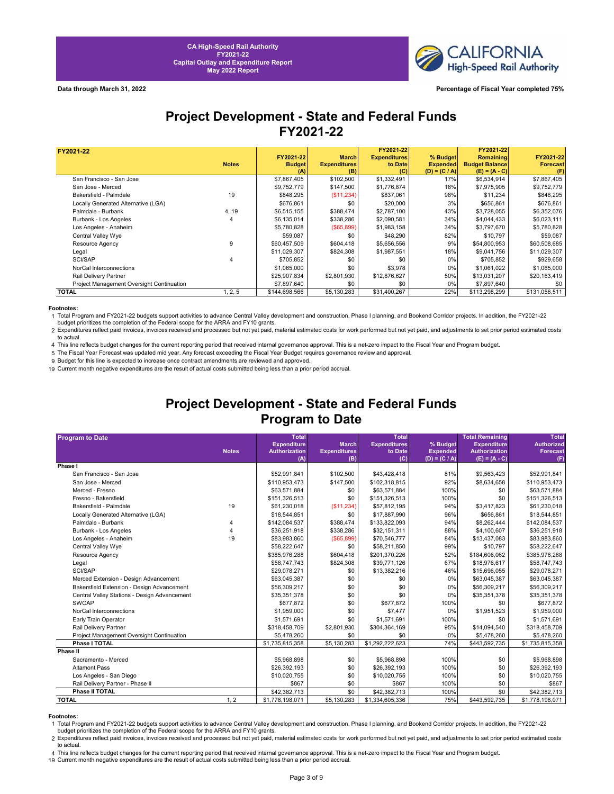

## **Project Development - State and Federal Funds FY2021-22**

| FY2021-22                                 |              |               |                     | FY2021-22           |                 | FY2021-22             |                 |
|-------------------------------------------|--------------|---------------|---------------------|---------------------|-----------------|-----------------------|-----------------|
|                                           |              | FY2021-22     | <b>March</b>        | <b>Expenditures</b> | % Budget        | <b>Remaining</b>      | FY2021-22       |
|                                           | <b>Notes</b> | <b>Budget</b> | <b>Expenditures</b> | to Date             | <b>Expended</b> | <b>Budget Balance</b> | <b>Forecast</b> |
|                                           |              | (A)           | (B)                 | (C)                 | $(D) = (C / A)$ | $(E) = (A - C)$       |                 |
| San Francisco - San Jose                  |              | \$7,867,405   | \$102,500           | \$1,332,491         | 17%             | \$6,534,914           | \$7,867,405     |
| San Jose - Merced                         |              | \$9,752,779   | \$147,500           | \$1,776,874         | 18%             | \$7,975,905           | \$9,752,779     |
| Bakersfield - Palmdale                    | 19           | \$848,295     | (\$11,234)          | \$837,061           | 98%             | \$11,234              | \$848,295       |
| Locally Generated Alternative (LGA)       |              | \$676,861     | \$0                 | \$20,000            | 3%              | \$656,861             | \$676,861       |
| Palmdale - Burbank                        | 4, 19        | \$6,515,155   | \$388,474           | \$2,787,100         | 43%             | \$3,728,055           | \$6,352,076     |
| Burbank - Los Angeles                     |              | \$6,135,014   | \$338,286           | \$2,090,581         | 34%             | \$4,044,433           | \$6,023,111     |
| Los Angeles - Anaheim                     |              | \$5,780,828   | $($ \$65,899)       | \$1,983,158         | 34%             | \$3,797,670           | \$5,780,828     |
| Central Valley Wye                        |              | \$59,087      | \$0                 | \$48,290            | 82%             | \$10,797              | \$59,087        |
| Resource Agency                           |              | \$60,457,509  | \$604,418           | \$5,656,556         | 9%              | \$54,800,953          | \$60,508,685    |
| Legal                                     |              | \$11,029,307  | \$824,308           | \$1,987,551         | 18%             | \$9,041,756           | \$11,029,307    |
| <b>SCI/SAP</b>                            |              | \$705,852     | \$0                 | \$0                 | 0%              | \$705,852             | \$929,658       |
| NorCal Interconnections                   |              | \$1,065,000   | \$0                 | \$3,978             | 0%              | \$1,061,022           | \$1,065,000     |
| Rail Delivery Partner                     |              | \$25,907,834  | \$2,801,930         | \$12,876,627        | 50%             | \$13,031,207          | \$20,163,419    |
| Project Management Oversight Continuation |              | \$7,897,640   | \$0                 | \$0                 | $0\%$           | \$7,897,640           | \$0             |
| <b>TOTAL</b>                              | 1, 2, 5      | \$144,698,566 | \$5,130,283         | \$31,400,267        | 22%             | \$113,298,299         | \$131,056,511   |

### **Footnotes:**

1 Total Program and FY2021-22 budgets support activities to advance Central Valley development and construction, Phase I planning, and Bookend Corridor projects. In addition, the FY2021-22 budget prioritizes the completion of the Federal scope for the ARRA and FY10 grants.

2 Expenditures reflect paid invoices, invoices received and processed but not yet paid, material estimated costs for work performed but not yet paid, and adjustments to set prior period estimated costs to actual.

4 This line reflects budget changes for the current reporting period that received internal governance approval. This is a net-zero impact to the Fiscal Year and Program budget.

5 The Fiscal Year Forecast was updated mid year. Any forecast exceeding the Fiscal Year Budget requires governance review and approval. 9 Budget for this line is expected to increase once contract amendments are reviewed and approved.

19 Current month negative expenditures are the result of actual costs submitted being less than a prior period accrual.

## **Project Development - State and Federal Funds Program to Date**

| <b>Program to Date</b>                       |              | <b>Total</b>         |                     | <b>Total</b>        |                 | <b>Total Remaining</b> | <b>Total</b>      |
|----------------------------------------------|--------------|----------------------|---------------------|---------------------|-----------------|------------------------|-------------------|
|                                              |              | <b>Expenditure</b>   | <b>March</b>        | <b>Expenditures</b> | % Budget        | <b>Expenditure</b>     | <b>Authorized</b> |
|                                              | <b>Notes</b> | <b>Authorization</b> | <b>Expenditures</b> | to Date<br>(C)      | <b>Expended</b> | <b>Authorization</b>   | Forecast          |
| Phase I                                      |              | (A)                  | (B)                 |                     | $(D) = (C / A)$ | $(E) = (A - C)$        | (F)               |
| San Francisco - San Jose                     |              | \$52,991,841         | \$102,500           | \$43,428,418        | 81%             | \$9,563,423            | \$52,991,841      |
| San Jose - Merced                            |              | \$110,953,473        | \$147,500           | \$102,318,815       | 92%             | \$8,634,658            | \$110,953,473     |
| Merced - Fresno                              |              | \$63,571,884         | \$0                 | \$63,571,884        | 100%            | \$0                    | \$63,571,884      |
| Fresno - Bakersfield                         |              | \$151,326,513        | \$0                 | \$151,326,513       | 100%            | \$0                    | \$151,326,513     |
| Bakersfield - Palmdale                       | 19           | \$61,230,018         | (\$11,234)          | \$57,812,195        | 94%             | \$3,417,823            | \$61,230,018      |
| Locally Generated Alternative (LGA)          |              | \$18,544,851         | \$0                 | \$17,887,990        | 96%             | \$656,861              | \$18,544,851      |
| Palmdale - Burbank                           | 4            | \$142,084,537        | \$388,474           | \$133,822,093       | 94%             | \$8,262,444            | \$142,084,537     |
| Burbank - Los Angeles                        | 4            | \$36,251,918         | \$338,286           | \$32,151,311        | 88%             | \$4,100,607            | \$36,251,918      |
| Los Angeles - Anaheim                        | 19           | \$83,983,860         | (\$65,899)          | \$70,546,777        | 84%             | \$13,437,083           | \$83,983,860      |
| Central Valley Wye                           |              | \$58,222,647         | \$0                 | \$58,211,850        | 99%             | \$10,797               | \$58,222,647      |
| Resource Agency                              |              | \$385,976,288        | \$604,418           | \$201,370,226       | 52%             | \$184,606,062          | \$385,976,288     |
| Legal                                        |              | \$58,747,743         | \$824,308           | \$39,771,126        | 67%             | \$18,976,617           | \$58,747,743      |
| <b>SCI/SAP</b>                               |              | \$29,078,271         | \$0                 | \$13,382,216        | 46%             | \$15,696,055           | \$29,078,271      |
| Merced Extension - Design Advancement        |              | \$63,045,387         | \$0                 | \$0                 | 0%              | \$63,045,387           | \$63,045,387      |
| Bakersfield Extension - Design Advancement   |              | \$56,309,217         | \$0                 | \$0                 | 0%              | \$56,309,217           | \$56,309,217      |
| Central Valley Stations - Design Advancement |              | \$35,351,378         | \$0                 | \$0                 | 0%              | \$35,351,378           | \$35,351,378      |
| <b>SWCAP</b>                                 |              | \$677,872            | \$0                 | \$677,872           | 100%            | \$0                    | \$677,872         |
| NorCal Interconnections                      |              | \$1,959,000          | \$0                 | \$7,477             | 0%              | \$1,951,523            | \$1,959,000       |
| Early Train Operator                         |              | \$1,571,691          | \$0                 | \$1,571,691         | 100%            | \$0                    | \$1,571,691       |
| Rail Delivery Partner                        |              | \$318,458,709        | \$2,801,930         | \$304,364,169       | 95%             | \$14,094,540           | \$318,458,709     |
| Project Management Oversight Continuation    |              | \$5,478,260          | \$0                 | \$0                 | 0%              | \$5,478,260            | \$5,478,260       |
| Phase I TOTAL                                |              | \$1,735,815,358      | \$5,130,283         | \$1,292,222,623     | 74%             | \$443,592,735          | \$1,735,815,358   |
| Phase II                                     |              |                      |                     |                     |                 |                        |                   |
| Sacramento - Merced                          |              | \$5,968,898          | \$0                 | \$5,968,898         | 100%            | \$0                    | \$5,968,898       |
| <b>Altamont Pass</b>                         |              | \$26,392,193         | \$0                 | \$26,392,193        | 100%            | \$0                    | \$26,392,193      |
| Los Angeles - San Diego                      |              | \$10,020,755         | \$0                 | \$10,020,755        | 100%            | \$0                    | \$10,020,755      |
| Rail Delivery Partner - Phase II             |              | \$867                | \$0                 | \$867               | 100%            | \$0                    | \$867             |
| Phase II TOTAL                               |              | \$42,382,713         | \$0                 | \$42,382,713        | 100%            | \$0                    | \$42,382,713      |
| <b>TOTAL</b>                                 | 1, 2         | \$1,778,198,071      | \$5,130,283         | \$1,334,605,336     | 75%             | \$443,592,735          | \$1,778,198,071   |

**Footnotes:**<br>1 Total Program and FY2021-22 budgets support activities to advance Central Valley development and construction, Phase I planning, and Bookend Corridor projects. In addition, the FY2021-22 budget prioritizes the completion of the Federal scope for the ARRA and FY10 grants.

2 Expenditures reflect paid invoices, invoices received and processed but not yet paid, material estimated costs for work performed but not yet paid, and adjustments to set prior period estimated costs to actual.

4 This line reflects budget changes for the current reporting period that received internal governance approval. This is a net-zero impact to the Fiscal Year and Program budget.

19 Current month negative expenditures are the result of actual costs submitted being less than a prior period accrual.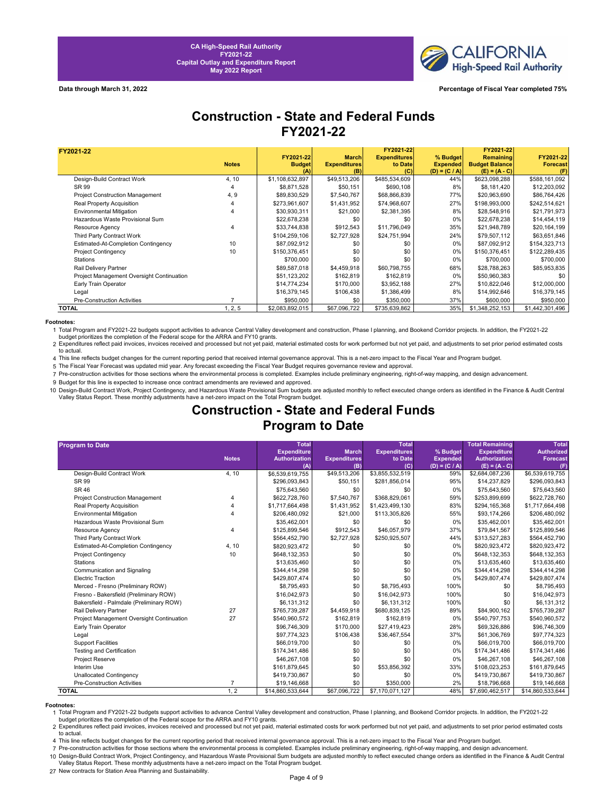

**Data through March 31, 2022 Percentage of Fiscal Year completed 75%**

## **Construction - State and Federal Funds FY2021-22**

| FY2021-22                                 |              |                 |                     | FY2021-22           |                 | FY2021-22             |                 |
|-------------------------------------------|--------------|-----------------|---------------------|---------------------|-----------------|-----------------------|-----------------|
|                                           |              | FY2021-22       | <b>March</b>        | <b>Expenditures</b> | % Budget        | <b>Remaining</b>      | FY2021-22       |
|                                           | <b>Notes</b> | <b>Budget</b>   | <b>Expenditures</b> | to Date             | <b>Expended</b> | <b>Budget Balance</b> | <b>Forecast</b> |
|                                           |              |                 | (B)                 | (C)                 | $(D) = (C / A)$ | $(E) = (A - C)$       | (F)             |
| Design-Build Contract Work                | 4, 10        | \$1,108,632,897 | \$49,513,206        | \$485,534,609       | 44%             | \$623,098,288         | \$588,161,092   |
| SR 99                                     |              | \$8,871,528     | \$50,151            | \$690,108           | 8%              | \$8,181,420           | \$12,203,092    |
| <b>Project Construction Management</b>    | 4, 9         | \$89,830,529    | \$7,540,767         | \$68,866,839        | 77%             | \$20,963,690          | \$86,764,426    |
| Real Property Acquisition                 |              | \$273,961,607   | \$1,431,952         | \$74,968,607        | 27%             | \$198,993,000         | \$242,514,621   |
| Environmental Mitigation                  |              | \$30,930,311    | \$21,000            | \$2,381,395         | 8%              | \$28,548,916          | \$21,791,973    |
| Hazardous Waste Provisional Sum           |              | \$22,678,238    | \$0                 | \$0                 | 0%              | \$22,678,238          | \$14,454,119    |
| Resource Agency                           |              | \$33,744,838    | \$912,543           | \$11,796,049        | 35%             | \$21,948,789          | \$20,164,199    |
| Third Party Contract Work                 |              | \$104,259,106   | \$2,727,928         | \$24,751,994        | 24%             | \$79,507,112          | \$63,651,846    |
| Estimated-At-Completion Contingency       | 10           | \$87,092,912    | \$0                 | \$0                 | 0%              | \$87,092,912          | \$154,323,713   |
| <b>Project Contingency</b>                | 10           | \$150,376,451   | \$0                 | \$0                 | 0%              | \$150,376,451         | \$122,289,435   |
| <b>Stations</b>                           |              | \$700,000       | \$0                 | \$0                 | 0%              | \$700,000             | \$700,000       |
| Rail Delivery Partner                     |              | \$89,587,018    | \$4,459,918         | \$60,798,755        | 68%             | \$28,788,263          | \$85,953,835    |
| Project Management Oversight Continuation |              | \$51,123,202    | \$162,819           | \$162,819           | 0%              | \$50,960,383          | \$0             |
| Early Train Operator                      |              | \$14,774,234    | \$170,000           | \$3,952,188         | 27%             | \$10,822,046          | \$12,000,000    |
| Legal                                     |              | \$16,379,145    | \$106,438           | \$1,386,499         | 8%              | \$14,992,646          | \$16,379,145    |
| <b>Pre-Construction Activities</b>        |              | \$950,000       | \$0                 | \$350,000           | 37%             | \$600,000             | \$950,000       |
| TOTAL                                     | 1, 2, 5      | \$2,083,892,015 | \$67,096,722        | \$735,639,862       | 35%             | \$1,348,252,153       | \$1,442,301,496 |

**Footnotes:**<br>1 Total Program and FY2021-22 budgets support activities to advance Central Valley development and construction, Phase I planning, and Bookend Corridor projects. In addition, the FY2021-22<br>budget prioritizes t

2 Expenditures reflect paid invoices, invoices received and processed but not yet paid, material estimated costs for work performed but not yet paid, and adjustments to set prior period estimated costs to actual.

4 This line reflects budget changes for the current reporting period that received internal governance approval. This is a net-zero impact to the Fiscal Year and Program budget.

5 The Fiscal Year Forecast was updated mid year. Any forecast exceeding the Fiscal Year Budget requires governance review and approval.

7 Pre-construction activities for those sections where the environmental process is completed. Examples include preliminary engineering, right-of-way mapping, and design advancement.

9 Budget for this line is expected to increase once contract amendments are reviewed and approved.

10 Design-Build Contract Work, Project Contingency, and Hazardous Waste Provisional Sum budgets are adjusted monthly to reflect executed change orders as identified in the Finance & Audit Central<br>Valley Status Report. Thes

### **Construction - State and Federal Funds Program to Date**

| <b>Program to Date</b>                    |                | <b>Total</b>         |                     | <b>Total</b>        |                 | <b>Total Remaining</b> | <b>Total</b>      |
|-------------------------------------------|----------------|----------------------|---------------------|---------------------|-----------------|------------------------|-------------------|
|                                           |                | <b>Expenditure</b>   | <b>March</b>        | <b>Expenditures</b> | % Budget        | <b>Expenditure</b>     | <b>Authorized</b> |
|                                           | <b>Notes</b>   | <b>Authorization</b> | <b>Expenditures</b> | to Date             | <b>Expended</b> | <b>Authorization</b>   | <b>Forecast</b>   |
|                                           |                | (A)                  | (B)                 | (C)                 | $(D) = (C / A)$ | $(E) = (A - C)$        | (F)               |
| Design-Build Contract Work                | 4, 10          | \$6,539,619,755      | \$49,513,206        | \$3,855,532,519     | 59%             | \$2,684,087,236        | \$6,539,619,755   |
| SR 99                                     |                | \$296,093,843        | \$50,151            | \$281,856,014       | 95%             | \$14,237,829           | \$296,093,843     |
| <b>SR 46</b>                              |                | \$75,643,560         | \$0                 | \$0                 | 0%              | \$75,643,560           | \$75,643,560      |
| <b>Project Construction Management</b>    |                | \$622,728,760        | \$7,540,767         | \$368,829,061       | 59%             | \$253,899,699          | \$622,728,760     |
| Real Property Acquisition                 |                | \$1,717,664,498      | \$1,431,952         | \$1,423,499,130     | 83%             | \$294,165,368          | \$1,717,664,498   |
| <b>Environmental Mitigation</b>           |                | \$206,480,092        | \$21,000            | \$113,305,826       | 55%             | \$93,174,266           | \$206,480,092     |
| Hazardous Waste Provisional Sum           |                | \$35,462,001         | \$0                 | \$0                 | 0%              | \$35,462,001           | \$35,462,001      |
| <b>Resource Agency</b>                    | Δ              | \$125,899,546        | \$912,543           | \$46,057,979        | 37%             | \$79,841,567           | \$125,899,546     |
| Third Party Contract Work                 |                | \$564,452,790        | \$2,727,928         | \$250,925,507       | 44%             | \$313,527,283          | \$564,452,790     |
| Estimated-At-Completion Contingency       | 4.10           | \$820,923,472        | \$0                 | \$0                 | 0%              | \$820,923,472          | \$820,923,472     |
| <b>Project Contingency</b>                | 10             | \$648,132,353        | \$0                 | \$0                 | 0%              | \$648,132,353          | \$648,132,353     |
| <b>Stations</b>                           |                | \$13,635,460         | \$0                 | \$0                 | 0%              | \$13,635,460           | \$13,635,460      |
| Communication and Signaling               |                | \$344,414,298        | \$0                 | \$0                 | 0%              | \$344,414,298          | \$344,414,298     |
| <b>Electric Traction</b>                  |                | \$429,807,474        | \$0                 | \$0                 | 0%              | \$429,807,474          | \$429,807,474     |
| Merced - Fresno (Preliminary ROW)         |                | \$8,795,493          | \$0                 | \$8,795,493         | 100%            | \$0                    | \$8,795,493       |
| Fresno - Bakersfield (Preliminary ROW)    |                | \$16,042,973         | \$0                 | \$16,042,973        | 100%            | \$0                    | \$16,042,973      |
| Bakersfield - Palmdale (Preliminary ROW)  |                | \$6,131,312          | \$0                 | \$6,131,312         | 100%            | \$0                    | \$6,131,312       |
| Rail Delivery Partner                     | 27             | \$765,739,287        | \$4,459,918         | \$680,839,125       | 89%             | \$84,900,162           | \$765,739,287     |
| Project Management Oversight Continuation | 27             | \$540,960,572        | \$162,819           | \$162,819           | 0%              | \$540,797,753          | \$540,960,572     |
| Early Train Operator                      |                | \$96,746,309         | \$170,000           | \$27,419,423        | 28%             | \$69,326,886           | \$96,746,309      |
| Legal                                     |                | \$97,774,323         | \$106,438           | \$36,467,554        | 37%             | \$61,306,769           | \$97,774,323      |
| <b>Support Facilities</b>                 |                | \$66,019,700         | \$0                 | \$0                 | 0%              | \$66,019,700           | \$66,019,700      |
| <b>Testing and Certification</b>          |                | \$174,341,486        | \$0                 | \$0                 | 0%              | \$174,341,486          | \$174,341,486     |
| <b>Project Reserve</b>                    |                | \$46,267,108         | \$0                 | \$0                 | 0%              | \$46,267,108           | \$46,267,108      |
| Interim Use                               |                | \$161,879,645        | \$0                 | \$53,856,392        | 33%             | \$108,023,253          | \$161,879,645     |
| <b>Unallocated Contingency</b>            |                | \$419,730,867        | \$0                 | \$0                 | 0%              | \$419,730,867          | \$419,730,867     |
| <b>Pre-Construction Activities</b>        | $\overline{7}$ | \$19,146,668         | \$0                 | \$350,000           | 2%              | \$18,796,668           | \$19,146,668      |
| <b>TOTAL</b>                              | 1, 2           | \$14,860,533,644     | \$67,096,722        | \$7,170,071,127     | 48%             | \$7,690,462,517        | \$14,860,533,644  |

**Footnotes:**<br>19 Total Program and FY2021-22 budgets support activities to advance Central Valley development and construction, Phase I planning, and Bookend Corridor projects. In addition, the FY2021-22 budget prioritizes the completion of the Federal scope for the ARRA and FY10 grants.

2 Expenditures reflect paid invoices, invoices received and processed but not yet paid, material estimated costs for work performed but not yet paid, and adjustments to set prior period estimated costs to actual.

4 This line reflects budget changes for the current reporting period that received internal governance approval. This is a net-zero impact to the Fiscal Year and Program budget.

7 Pre-construction activities for those sections where the environmental process is completed. Examples include preliminary engineering, right-of-way mapping, and design advancement.

10 Design-Build Contract Work, Project Contingency, and Hazardous Waste Provisional Sum budgets are adjusted monthly to reflect executed change orders as identified in the Finance & Audit Central Valley Status Report. These monthly adjustments have a net-zero impact on the Total Program budget.

27 New contracts for Station Area Planning and Sustainability.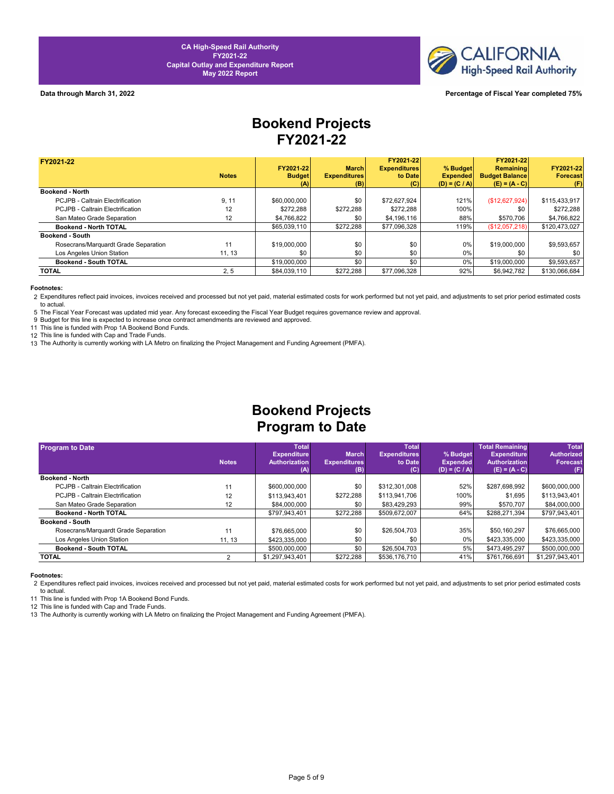

### **Data through March 31, 2022 Percentage of Fiscal Year completed 75%**

# **Bookend Projects FY2021-22**

| FY2021-22                            |              |               |                     | FY2021-22           |                 | FY2021-22             |                 |
|--------------------------------------|--------------|---------------|---------------------|---------------------|-----------------|-----------------------|-----------------|
|                                      |              | FY2021-22     | <b>March</b>        | <b>Expenditures</b> | % Budget        | Remaining             | FY2021-22       |
|                                      | <b>Notes</b> | <b>Budget</b> | <b>Expenditures</b> | to Date             | <b>Expended</b> | <b>Budget Balance</b> | <b>Forecast</b> |
|                                      |              | (A)           | (B)                 | (C)                 | $(D) = (C / A)$ | $(E) = (A - C)$       | (F)             |
| <b>Bookend - North</b>               |              |               |                     |                     |                 |                       |                 |
| PCJPB - Caltrain Electrification     | 9, 11        | \$60,000,000  | \$0                 | \$72.627.924        | 121%            | (S12, 627, 924)       | \$115,433,917   |
| PCJPB - Caltrain Electrification     | 12           | \$272.288     | \$272.288           | \$272.288           | 100%            | \$0                   | \$272.288       |
| San Mateo Grade Separation           | 12           | \$4,766,822   | \$0                 | \$4,196,116         | 88%             | \$570.706             | \$4.766.822     |
| Bookend - North TOTAL                |              | \$65,039,110  | \$272.288           | \$77,096,328        | 119%            | (\$12,057,218)        | \$120,473,027   |
| <b>Bookend - South</b>               |              |               |                     |                     |                 |                       |                 |
| Rosecrans/Marquardt Grade Separation | 11           | \$19,000,000  | \$0                 | \$0                 | 0%              | \$19,000,000          | \$9.593.657     |
| Los Angeles Union Station            | 11, 13       | \$0           | \$0                 | \$0                 | $0\%$           | \$0                   | \$0             |
| Bookend - South TOTAL                |              | \$19,000,000  | \$0                 | \$0                 | $0\%$           | \$19,000,000          | \$9,593,657     |
| <b>TOTAL</b>                         | 2, 5         | \$84,039,110  | \$272,288           | \$77,096,328        | 92%             | \$6,942,782           | \$130,066,684   |

### **Footnotes:**

2 Expenditures reflect paid invoices, invoices received and processed but not yet paid, material estimated costs for work performed but not yet paid, and adjustments to set prior period estimated costs to actual.

5 The Fiscal Year Forecast was updated mid year. Any forecast exceeding the Fiscal Year Budget requires governance review and approval.

9 Budget for this line is expected to increase once contract amendments are reviewed and approved.

11 This line is funded with Prop 1A Bookend Bond Funds.

12 This line is funded with Cap and Trade Funds.

13 The Authority is currently working with LA Metro on finalizing the Project Management and Funding Agreement (PMFA).

## **Bookend Projects Program to Date**

| <b>Program to Date</b>               |              | <b>Total</b>         |                     | <b>Total</b>        |                 | Total Remaining      | <b>Total</b>      |
|--------------------------------------|--------------|----------------------|---------------------|---------------------|-----------------|----------------------|-------------------|
|                                      |              | <b>Expenditure</b>   | <b>March</b>        | <b>Expenditures</b> | % Budget        | <b>Expenditure</b>   | <b>Authorized</b> |
|                                      | <b>Notes</b> | <b>Authorization</b> | <b>Expenditures</b> | to Date             | <b>Expended</b> | <b>Authorization</b> | <b>Forecast</b>   |
|                                      |              | (A)                  | (B)                 | (C)                 | $(D) = (C / A)$ | $(E) = (A - C)$      | (F)               |
| Bookend - North                      |              |                      |                     |                     |                 |                      |                   |
| PCJPB - Caltrain Electrification     | 11           | \$600,000,000        | \$0                 | \$312,301,008       | 52%             | \$287,698,992        | \$600,000,000     |
| PCJPB - Caltrain Electrification     | 12           | \$113,943,401        | \$272,288           | \$113,941,706       | 100%            | \$1,695              | \$113,943,401     |
| San Mateo Grade Separation           | 12           | \$84,000,000         | \$0                 | \$83.429.293        | 99%             | \$570.707            | \$84,000,000      |
| <b>Bookend - North TOTAL</b>         |              | \$797.943.401        | \$272,288           | \$509.672.007       | 64%             | \$288.271.394        | \$797,943,401     |
| <b>Bookend - South</b>               |              |                      |                     |                     |                 |                      |                   |
| Rosecrans/Marquardt Grade Separation | 11           | \$76,665,000         | \$0                 | \$26,504,703        | 35%             | \$50.160.297         | \$76,665,000      |
| Los Angeles Union Station            | 11, 13       | \$423,335,000        | \$0                 | \$0                 | 0%              | \$423,335,000        | \$423,335,000     |
| Bookend - South TOTAL                |              | \$500,000,000        | \$0                 | \$26,504,703        | 5%              | \$473.495.297        | \$500,000,000     |
| <b>TOTAL</b>                         |              | \$1,297,943,401      | \$272.288           | \$536,176,710       | 41%             | \$761.766.691        | \$1,297,943,401   |

### **Footnotes:**

2 Expenditures reflect paid invoices, invoices received and processed but not yet paid, material estimated costs for work performed but not yet paid, and adjustments to set prior period estimated costs to actual.

11 This line is funded with Prop 1A Bookend Bond Funds.

12 This line is funded with Cap and Trade Funds.

13 The Authority is currently working with LA Metro on finalizing the Project Management and Funding Agreement (PMFA).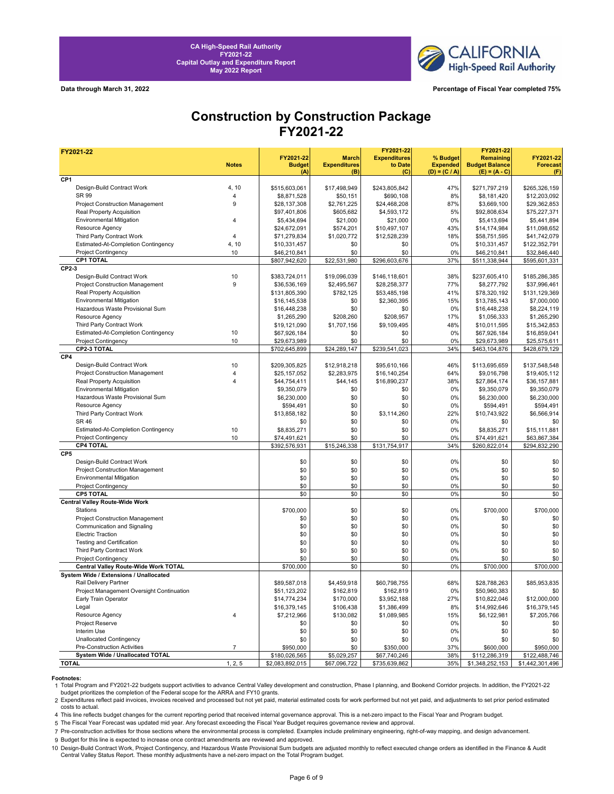

**Data through March 31, 2022 Percentage of Fiscal Year completed 75%**

## **Construction by Construction Package FY2021-22**

| FY2021-22                                  |                |                 |                     | FY2021-22           |                 | FY2021-22             |                 |
|--------------------------------------------|----------------|-----------------|---------------------|---------------------|-----------------|-----------------------|-----------------|
|                                            |                | FY2021-22       | <b>March</b>        | <b>Expenditures</b> | % Budget        | Remaining             | FY2021-22       |
|                                            | <b>Notes</b>   | <b>Budget</b>   | <b>Expenditures</b> | to Date             | <b>Expended</b> | <b>Budget Balance</b> | <b>Forecast</b> |
|                                            |                | (A)             | (B)                 | (C)                 | $(D) = (C / A)$ | $(E) = (A - C)$       | (F)             |
| CP <sub>1</sub>                            |                |                 |                     |                     |                 |                       |                 |
| Design-Build Contract Work<br><b>SR 99</b> | 4, 10          | \$515,603,061   | \$17,498,949        | \$243,805,842       | 47%             | \$271,797,219         | \$265,326,159   |
|                                            | $\overline{4}$ | \$8,871,528     | \$50,151            | \$690,108           | 8%              | \$8,181,420           | \$12,203,092    |
| <b>Project Construction Management</b>     | 9              | \$28,137,308    | \$2,761,225         | \$24,468,208        | 87%             | \$3,669,100           | \$29,362,853    |
| Real Property Acquisition                  |                | \$97,401,806    | \$605,682           | \$4,593,172         | 5%              | \$92,808,634          | \$75,227,371    |
| <b>Environmental Mitigation</b>            | $\overline{4}$ | \$5,434,694     | \$21,000            | \$21,000            | 0%              | \$5,413,694           | \$5,441,894     |
| Resource Agency                            |                | \$24,672,091    | \$574,201           | \$10,497,107        | 43%             | \$14,174,984          | \$11,098,652    |
| Third Party Contract Work                  | $\overline{4}$ | \$71,279,834    | \$1,020,772         | \$12,528,239        | 18%             | \$58,751,595          | \$41,742,079    |
| Estimated-At-Completion Contingency        | 4, 10          | \$10,331,457    | \$0                 | \$0                 | 0%              | \$10,331,457          | \$122,352,791   |
| <b>Project Contingency</b>                 | 10             | \$46,210,841    | \$0                 | \$0                 | 0%              | \$46,210,841          | \$32,846,440    |
| CP1 TOTAL                                  |                | \$807,942,620   | \$22,531,980        | \$296,603,676       | 37%             | \$511,338,944         | \$595,601,331   |
| CP2-3                                      |                |                 |                     |                     |                 |                       |                 |
| Design-Build Contract Work                 | 10             | \$383,724,011   | \$19,096,039        | \$146,118,601       | 38%             | \$237,605,410         | \$185,286,385   |
| Project Construction Management            | 9              | \$36,536,169    | \$2,495,567         | \$28,258,377        | 77%             | \$8,277,792           | \$37,996,461    |
| Real Property Acquisition                  |                | \$131,805,390   | \$782,125           | \$53,485,198        | 41%             | \$78,320,192          | \$131,129,369   |
| <b>Environmental Mitigation</b>            |                | \$16,145,538    | \$0                 | \$2,360,395         | 15%             | \$13,785,143          | \$7,000,000     |
| Hazardous Waste Provisional Sum            |                | \$16,448,238    | \$0                 | \$0                 | 0%              | \$16,448,238          | \$8,224,119     |
| Resource Agency                            |                | \$1,265,290     | \$208,260           | \$208,957           | 17%             | \$1,056,333           | \$1,265,290     |
| Third Party Contract Work                  |                | \$19,121,090    | \$1,707,156         | \$9,109,495         | 48%             | \$10,011,595          | \$15,342,853    |
| Estimated-At-Completion Contingency        | 10             |                 |                     |                     | 0%              |                       |                 |
|                                            | 10             | \$67,926,184    | \$0                 | \$0                 |                 | \$67,926,184          | \$16,859,041    |
| <b>Project Contingency</b>                 |                | \$29,673,989    | \$0                 | \$0                 | 0%              | \$29,673,989          | \$25,575,611    |
| CP2-3 TOTAL                                |                | \$702,645,899   | \$24,289,147        | \$239,541,023       | 34%             | \$463,104,876         | \$428,679,129   |
| CP4                                        |                |                 |                     |                     |                 |                       |                 |
| Design-Build Contract Work                 | 10             | \$209,305,825   | \$12,918,218        | \$95,610,166        | 46%             | \$113,695,659         | \$137,548,548   |
| Project Construction Management            | $\overline{4}$ | \$25,157,052    | \$2,283,975         | \$16,140,254        | 64%             | \$9,016,798           | \$19,405,112    |
| Real Property Acquisition                  | $\overline{4}$ | \$44,754,411    | \$44,145            | \$16,890,237        | 38%             | \$27,864,174          | \$36,157,881    |
| <b>Environmental Mitigation</b>            |                | \$9,350,079     | \$0                 | \$0                 | 0%              | \$9,350,079           | \$9,350,079     |
| Hazardous Waste Provisional Sum            |                | \$6,230,000     | \$0                 | \$0                 | 0%              | \$6,230,000           | \$6,230,000     |
| Resource Agency                            |                | \$594,491       | \$0                 | \$0                 | 0%              | \$594,491             | \$594,491       |
| Third Party Contract Work                  |                | \$13,858,182    | \$0                 | \$3,114,260         | 22%             | \$10,743,922          | \$6,566,914     |
| <b>SR 46</b>                               |                | \$0             | \$0                 | \$0                 | 0%              | \$0                   | \$0             |
| Estimated-At-Completion Contingency        | 10             | \$8,835,271     | \$0                 | \$0                 | 0%              | \$8,835,271           | \$15,111,881    |
| <b>Project Contingency</b>                 | 10             | \$74,491,621    | \$0                 | \$0                 | 0%              | \$74,491,621          | \$63,867,384    |
| <b>CP4 TOTAL</b>                           |                | \$392,576,931   | \$15,246,338        | \$131,754,917       | 34%             | \$260,822,014         | \$294,832,290   |
| CP <sub>5</sub>                            |                |                 |                     |                     |                 |                       |                 |
| Design-Build Contract Work                 |                | \$0             | \$0                 | \$0                 | 0%              | \$0                   | \$0             |
| Project Construction Management            |                | \$0             | \$0                 | \$0                 | 0%              | \$0                   | \$0             |
| <b>Environmental Mitigation</b>            |                | \$0             | \$0                 | \$0                 | 0%              | \$0                   | \$0             |
|                                            |                |                 |                     |                     |                 |                       |                 |
| <b>Project Contingency</b>                 |                | \$0             | \$0                 | \$0                 | 0%              | \$0                   | \$0             |
| CP5 TOTAL                                  |                | \$0             | \$0                 | \$0                 | 0%              | \$0                   | \$0             |
| <b>Central Valley Route-Wide Work</b>      |                |                 |                     |                     |                 |                       |                 |
| Stations                                   |                | \$700,000       | \$0                 | \$0                 | 0%              | \$700,000             | \$700,000       |
| Project Construction Management            |                | \$0             | \$0                 | \$0                 | 0%              | \$0                   | \$0             |
| Communication and Signaling                |                | \$0             | \$0                 | \$0                 | 0%              | \$0                   | \$0             |
| <b>Electric Traction</b>                   |                | \$0             | \$0                 | \$0                 | 0%              | \$0                   | \$0             |
| <b>Testing and Certification</b>           |                | \$0             | \$0                 | \$0                 | 0%              | \$0                   | \$0             |
| Third Party Contract Work                  |                | \$0             | \$0                 | \$0                 | 0%              | \$0                   | \$0             |
| Project Contingency                        |                | \$0             | \$0                 | \$0                 | 0%              | \$0                   | \$0             |
| Central Valley Route-Wide Work TOTAL       |                | \$700,000       | \$0                 | \$0                 | 0%              | \$700,000             | \$700,000       |
| System Wide / Extensions / Unallocated     |                |                 |                     |                     |                 |                       |                 |
| Rail Delivery Partner                      |                | \$89,587,018    | \$4,459,918         | \$60,798,755        | 68%             | \$28,788,263          | \$85,953,835    |
| Project Management Oversight Continuation  |                | \$51,123,202    | \$162,819           | \$162,819           | 0%              | \$50,960,383          | \$0             |
| Early Train Operator                       |                | \$14,774,234    | \$170,000           | \$3,952,188         | 27%             | \$10,822,046          | \$12,000,000    |
| Legal                                      |                | \$16,379,145    | \$106,438           | \$1,386,499         | 8%              | \$14,992,646          | \$16,379,145    |
|                                            |                |                 |                     |                     | 15%             |                       |                 |
| Resource Agency                            | $\overline{4}$ | \$7,212,966     | \$130,082           | \$1,089,985         |                 | \$6,122,981           | \$7,205,766     |
| Project Reserve                            |                | \$0             | \$0                 | \$0                 | 0%              | \$0                   | \$0             |
| Interim Use                                |                | \$0             | \$0                 | \$0                 | 0%              | \$0                   | \$0             |
| <b>Unallocated Contingency</b>             |                | \$0             | \$0                 | \$0                 | 0%              | \$0                   | \$0             |
| Pre-Construction Activities                | $\overline{7}$ | \$950,000       | \$0                 | \$350,000           | 37%             | \$600,000             | \$950,000       |
| System Wide / Unallocated TOTAL            |                | \$180,026,565   | \$5,029,257         | \$67,740,246        | 38%             | \$112,286,319         | \$122,488,746   |
| <b>TOTAL</b>                               | 1, 2, 5        | \$2,083,892,015 | \$67,096,722        | \$735,639,862       | 35%             | \$1,348,252,153       | \$1,442,301,496 |

**Footnotes:**<br>1 Total Program and FY2021-22 budgets support activities to advance Central Valley development and construction, Phase I planning, and Bookend Corridor projects. In addition, the FY2021-22 budget prioritizes the completion of the Federal scope for the ARRA and FY10 grants.

2 Expenditures reflect paid invoices, invoices received and processed but not yet paid, material estimated costs for work performed but not yet paid, and adjustments to set prior period estimated costs to actual.

4 This line reflects budget changes for the current reporting period that received internal governance approval. This is a net-zero impact to the Fiscal Year and Program budget.

5 The Fiscal Year Forecast was updated mid year. Any forecast exceeding the Fiscal Year Budget requires governance review and approval.

7 Pre-construction activities for those sections where the environmental process is completed. Examples include preliminary engineering, right-of-way mapping, and design advancement.

9 Budget for this line is expected to increase once contract amendments are reviewed and approved.

10 Design-Build Contract Work, Project Contingency, and Hazardous Waste Provisional Sum budgets are adjusted monthly to reflect executed change orders as identified in the Finance & Audit<br>Central Valley Status Report. Thes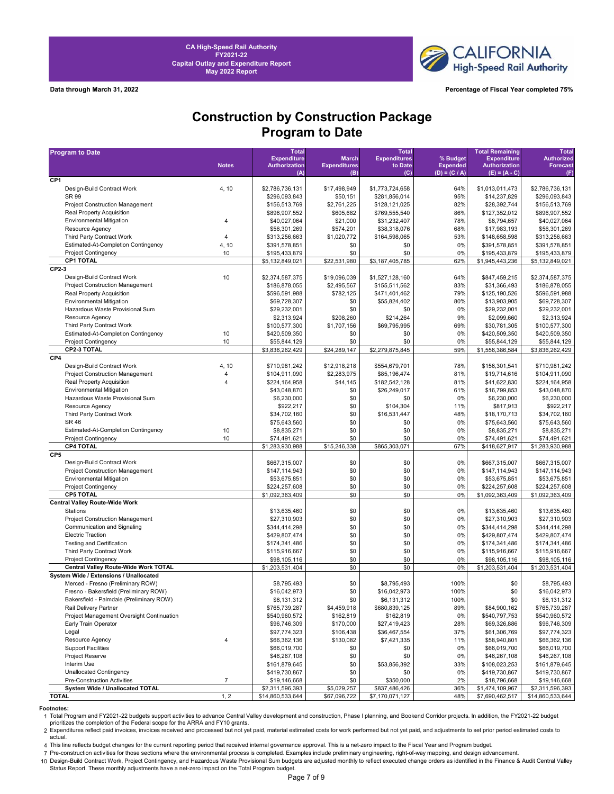

**Data through March 31, 2022 Percentage of Fiscal Year completed 75%**

## **Construction by Construction Package Program to Date**

| <b>Program to Date</b>                    |                | <b>Total</b>                   |                            | <b>Total</b>        |                                    | <b>Total Remaining</b>                  | <b>Total</b>                   |
|-------------------------------------------|----------------|--------------------------------|----------------------------|---------------------|------------------------------------|-----------------------------------------|--------------------------------|
|                                           |                | <b>Expenditure</b>             | <b>March</b>               | <b>Expenditures</b> | % Budget                           | <b>Expenditure</b>                      | <b>Authorized</b>              |
|                                           | <b>Notes</b>   | <b>Authorization</b><br>(A)    | <b>Expenditures</b><br>(B) | to Date<br>(C)      | <b>Expended</b><br>$(D) = (C / A)$ | <b>Authorization</b><br>$(E) = (A - C)$ | <b>Forecast</b><br>(F)         |
| CP1                                       |                |                                |                            |                     |                                    |                                         |                                |
| Design-Build Contract Work                | 4, 10          | \$2,786,736,131                | \$17,498,949               | \$1,773,724,658     | 64%                                | \$1,013,011,473                         | \$2,786,736,131                |
| SR 99                                     |                | \$296,093,843                  | \$50,151                   | \$281,856,014       | 95%                                | \$14,237,829                            | \$296,093,843                  |
| <b>Project Construction Management</b>    |                | \$156,513,769                  | \$2,761,225                | \$128,121,025       | 82%                                | \$28,392,744                            | \$156,513,769                  |
| Real Property Acquisition                 |                | \$896,907,552                  | \$605,682                  | \$769,555,540       | 86%                                | \$127,352,012                           | \$896,907,552                  |
| <b>Environmental Mitigation</b>           | 4              | \$40,027,064                   | \$21,000                   | \$31,232,407        | 78%                                | \$8,794,657                             | \$40,027,064                   |
| Resource Agency                           |                | \$56,301,269                   | \$574,201                  | \$38,318,076        | 68%                                | \$17,983,193                            | \$56,301,269                   |
| Third Party Contract Work                 | 4              | \$313,256,663                  | \$1,020,772                | \$164,598,065       | 53%                                | \$148,658,598                           | \$313,256,663                  |
| Estimated-At-Completion Contingency       | 4, 10          | \$391,578,851                  | \$0                        | \$0                 | 0%                                 | \$391,578,851                           | \$391,578,851                  |
| <b>Project Contingency</b>                | 10             | \$195,433,879                  | \$0                        | \$0                 | 0%                                 | \$195,433,879                           | \$195,433,879                  |
| <b>CP1 TOTAL</b>                          |                | \$5,132,849,021                | \$22,531,980               | \$3,187,405,785     | 62%                                | \$1,945,443,236                         | \$5,132,849,021                |
| CP2-3                                     |                |                                |                            |                     |                                    |                                         |                                |
| Design-Build Contract Work                | 10             | \$2,374,587,375                | \$19,096,039               | \$1,527,128,160     | 64%                                | \$847,459,215                           | \$2,374,587,375                |
| Project Construction Management           |                | \$186,878,055                  | \$2,495,567                | \$155,511,562       | 83%                                | \$31,366,493                            | \$186,878,055                  |
| <b>Real Property Acquisition</b>          |                | \$596,591,988                  | \$782,125                  | \$471,401,462       | 79%                                | \$125,190,526                           | \$596,591,988                  |
| <b>Environmental Mitigation</b>           |                | \$69,728,307                   | \$0                        | \$55,824,402        | 80%                                | \$13,903,905                            | \$69,728,307                   |
| Hazardous Waste Provisional Sum           |                | \$29,232,001                   | \$0                        | \$0                 | 0%                                 | \$29,232,001                            | \$29,232,001                   |
| Resource Agency                           |                | \$2,313,924                    | \$208,260                  | \$214,264           | 9%                                 | \$2,099,660                             | \$2,313,924                    |
| Third Party Contract Work                 |                | \$100,577,300                  | \$1,707,156                | \$69,795,995        | 69%                                | \$30,781,305                            | \$100,577,300                  |
| Estimated-At-Completion Contingency       | 10             | \$420,509,350                  | \$0                        | \$0                 | 0%                                 | \$420,509,350                           | \$420,509,350                  |
| <b>Project Contingency</b>                | 10             | \$55,844,129                   | \$0                        | \$0                 | 0%                                 | \$55,844,129                            | \$55,844,129                   |
| CP2-3 TOTAL                               |                | \$3,836,262,429                | \$24,289,147               | \$2,279,875,845     | 59%                                | \$1,556,386,584                         | \$3,836,262,429                |
| CP4                                       |                |                                |                            |                     |                                    |                                         |                                |
| Design-Build Contract Work                | 4, 10          | \$710,981,242                  | \$12,918,218               | \$554,679,701       | 78%                                | \$156,301,541                           | \$710,981,242                  |
| Project Construction Management           | 4              | \$104,911,090                  | \$2,283,975                | \$85,196,474        | 81%                                | \$19,714,616                            | \$104,911,090                  |
| Real Property Acquisition                 | 4              | \$224,164,958                  | \$44,145                   | \$182,542,128       | 81%                                | \$41,622,830                            | \$224,164,958                  |
| <b>Environmental Mitigation</b>           |                | \$43,048,870                   | \$0                        | \$26,249,017        | 61%                                | \$16,799,853                            | \$43,048,870                   |
| Hazardous Waste Provisional Sum           |                | \$6,230,000                    | \$0                        | \$0                 | 0%                                 | \$6,230,000                             | \$6,230,000                    |
| Resource Agency                           |                | \$922,217                      | \$0                        | \$104,304           | 11%                                | \$817,913                               | \$922,217                      |
| Third Party Contract Work                 |                | \$34,702,160                   | \$0                        | \$16,531,447        | 48%                                | \$18,170,713                            | \$34,702,160                   |
| <b>SR 46</b>                              |                | \$75,643,560                   | \$0                        | \$0                 | 0%                                 | \$75,643,560                            | \$75,643,560                   |
| Estimated-At-Completion Contingency       | 10             | \$8,835,271                    | \$0                        | \$0                 | 0%                                 | \$8,835,271                             | \$8,835,271                    |
| <b>Project Contingency</b>                | 10             | \$74,491,621                   | \$0                        | \$0                 | 0%                                 | \$74,491,621                            | \$74,491,621                   |
| <b>CP4 TOTAL</b><br>CP <sub>5</sub>       |                | \$1,283,930,988                | \$15,246,338               | \$865,303,071       | 67%                                | \$418,627,917                           | \$1,283,930,988                |
| Design-Build Contract Work                |                |                                |                            | \$0                 | 0%                                 |                                         |                                |
| <b>Project Construction Management</b>    |                | \$667,315,007<br>\$147,114,943 | \$0<br>\$0                 | \$0                 | 0%                                 | \$667,315,007<br>\$147,114,943          | \$667,315,007<br>\$147,114,943 |
| <b>Environmental Mitigation</b>           |                | \$53,675,851                   | \$0                        | \$0                 | 0%                                 | \$53,675,851                            | \$53,675,851                   |
| <b>Project Contingency</b>                |                | \$224,257,608                  | \$0                        | \$0                 | 0%                                 | \$224,257,608                           | \$224,257,608                  |
| <b>CP5 TOTAL</b>                          |                | \$1,092,363,409                | \$0                        | \$0                 | 0%                                 | \$1,092,363,409                         | \$1,092,363,409                |
| <b>Central Valley Route-Wide Work</b>     |                |                                |                            |                     |                                    |                                         |                                |
| Stations                                  |                | \$13,635,460                   | \$0                        | \$0                 | 0%                                 | \$13,635,460                            | \$13,635,460                   |
| Project Construction Management           |                | \$27,310,903                   | \$0                        | \$0                 | 0%                                 | \$27,310,903                            | \$27,310,903                   |
| Communication and Signaling               |                | \$344,414,298                  | \$0                        | \$0                 | 0%                                 | \$344,414,298                           | \$344,414,298                  |
| <b>Electric Traction</b>                  |                | \$429,807,474                  | \$0                        | \$0                 | 0%                                 | \$429,807,474                           | \$429,807,474                  |
| Testing and Certification                 |                | \$174,341,486                  | \$0                        | \$0                 | 0%                                 | \$174,341,486                           | \$174,341,486                  |
| Third Party Contract Work                 |                | \$115,916,667                  | \$0                        | \$0                 | 0%                                 | \$115,916,667                           | \$115,916,667                  |
| <b>Project Contingency</b>                |                | \$98,105,116                   | \$0                        | \$0                 | 0%                                 | \$98,105,116                            | \$98,105,116                   |
| Central Valley Route-Wide Work TOTAL      |                | \$1,203,531,404                | \$0                        | \$0                 | 0%                                 | \$1,203,531,404                         | \$1,203,531,404                |
| System Wide / Extensions / Unallocated    |                |                                |                            |                     |                                    |                                         |                                |
| Merced - Fresno (Preliminary ROW)         |                | \$8,795,493                    | \$0                        | \$8,795,493         | 100%                               | \$0                                     | \$8,795,493                    |
| Fresno - Bakersfield (Preliminary ROW)    |                | \$16,042,973                   | \$0                        | \$16,042,973        | 100%                               | \$0                                     | \$16,042,973                   |
| Bakersfield - Palmdale (Preliminary ROW)  |                | \$6,131,312                    | \$0                        | \$6,131,312         | 100%                               | \$0                                     | \$6,131,312                    |
| Rail Delivery Partner                     |                | \$765,739,287                  | \$4,459,918                | \$680,839,125       | 89%                                | \$84,900,162                            | \$765,739,287                  |
| Project Management Oversight Continuation |                | \$540,960,572                  | \$162,819                  | \$162,819           | 0%                                 | \$540,797,753                           | \$540,960,572                  |
| Early Train Operator                      |                | \$96,746,309                   | \$170,000                  | \$27,419,423        | 28%                                | \$69,326,886                            | \$96,746,309                   |
| Legal                                     |                | \$97,774,323                   | \$106,438                  | \$36,467,554        | 37%                                | \$61,306,769                            | \$97,774,323                   |
| Resource Agency                           | 4              | \$66,362,136                   | \$130,082                  | \$7,421,335         | 11%                                | \$58,940,801                            | \$66,362,136                   |
| <b>Support Facilities</b>                 |                | \$66,019,700                   | \$0                        | \$0                 | 0%                                 | \$66,019,700                            | \$66,019,700                   |
| Project Reserve                           |                | \$46,267,108                   | \$0                        | \$0                 | 0%                                 | \$46,267,108                            | \$46,267,108                   |
| Interim Use                               |                | \$161,879,645                  | \$0                        | \$53,856,392        | 33%                                | \$108,023,253                           | \$161,879,645                  |
| <b>Unallocated Contingency</b>            |                | \$419,730,867                  | \$0                        | \$0                 | 0%                                 | \$419,730,867                           | \$419,730,867                  |
| Pre-Construction Activities               | $\overline{7}$ | \$19,146,668                   | \$0                        | \$350,000           | 2%                                 | \$18,796,668                            | \$19,146,668                   |
| System Wide / Unallocated TOTAL           |                | \$2,311,596,393                | \$5,029,257                | \$837,486,426       | 36%                                | \$1,474,109,967                         | \$2,311,596,393                |
| <b>TOTAL</b>                              | 1, 2           | \$14,860,533,644               | \$67,096,722               | \$7,170,071,127     | 48%                                | \$7,690,462,517                         | \$14,860,533,644               |

**Footnotes:**<br>1 Total Program and FY2021-22 budgets support activities to advance Central Valley development and construction, Phase I planning, and Bookend Corridor projects. In addition, the FY2021-22 budget<br>prioritizes t

2 Expenditures reflect paid invoices, invoices received and processed but not yet paid, material estimated costs for work performed but not yet paid, and adjustments to set prior period estimated costs to actual.

4 This line reflects budget changes for the current reporting period that received internal governance approval. This is a net-zero impact to the Fiscal Year and Program budget.

7 Pre-construction activities for those sections where the environmental process is completed. Examples include preliminary engineering, right-of-way mapping, and design advancement.

10 Design-Build Contract Work, Project Contingency, and Hazardous Waste Provisional Sum budgets are adjusted monthly to reflect executed change orders as identified in the Finance & Audit Central Valley<br>Status Report. Thes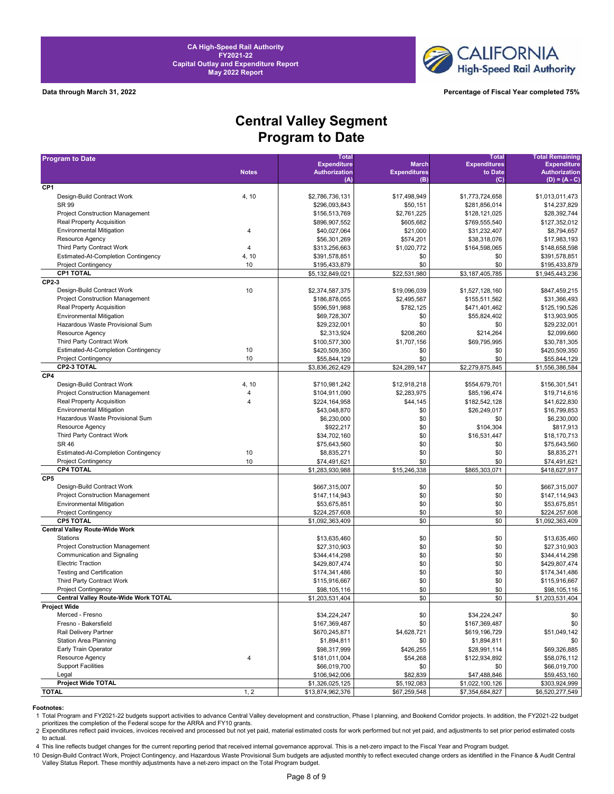



**Data through March 31, 2022 Percentage of Fiscal Year completed 75%**

# **Central Valley Segment Program to Date**

| <b>Program to Date</b>                                             |                | <b>Total</b>                     |                     | <b>Total</b>        | <b>Total Remaining</b>                  |
|--------------------------------------------------------------------|----------------|----------------------------------|---------------------|---------------------|-----------------------------------------|
|                                                                    |                | <b>Expenditure</b>               | <b>March</b>        | <b>Expenditures</b> | <b>Expenditure</b>                      |
|                                                                    | <b>Notes</b>   | <b>Authorization</b>             | <b>Expenditures</b> | to Date             | <b>Authorization</b><br>$(D) = (A - C)$ |
| CP <sub>1</sub>                                                    |                | (A)                              | (B)                 | (C)                 |                                         |
| Design-Build Contract Work                                         | 4, 10          | \$2,786,736,131                  | \$17,498,949        | \$1,773,724,658     | \$1,013,011,473                         |
| SR 99                                                              |                | \$296.093.843                    | \$50,151            | \$281,856,014       | \$14,237,829                            |
| <b>Project Construction Management</b>                             |                | \$156,513,769                    | \$2,761,225         | \$128,121,025       | \$28,392,744                            |
| Real Property Acquisition                                          |                | \$896,907,552                    | \$605,682           | \$769,555,540       | \$127,352,012                           |
| <b>Environmental Mitigation</b>                                    | 4              | \$40,027,064                     | \$21,000            | \$31,232,407        | \$8,794,657                             |
| Resource Agency                                                    |                | \$56,301,269                     | \$574,201           | \$38,318,076        | \$17,983,193                            |
| <b>Third Party Contract Work</b>                                   | 4              | \$313,256,663                    | \$1,020,772         | \$164,598,065       | \$148,658,598                           |
| <b>Estimated-At-Completion Contingency</b>                         | 4, 10          | \$391,578,851                    | \$0                 | \$0                 | \$391,578,851                           |
| <b>Project Contingency</b>                                         | 10             |                                  | \$0                 | \$0                 | \$195,433,879                           |
| <b>CP1 TOTAL</b>                                                   |                | \$195,433,879<br>\$5,132,849,021 | \$22,531,980        | \$3,187,405,785     |                                         |
| CP2-3                                                              |                |                                  |                     |                     | \$1,945,443,236                         |
| Design-Build Contract Work                                         | 10             |                                  | \$19,096,039        | \$1,527,128,160     | \$847,459,215                           |
| <b>Project Construction Management</b>                             |                | \$2,374,587,375                  |                     | \$155,511,562       |                                         |
| <b>Real Property Acquisition</b>                                   |                | \$186,878,055                    | \$2,495,567         |                     | \$31,366,493                            |
|                                                                    |                | \$596,591,988                    | \$782,125           | \$471,401,462       | \$125,190,526                           |
| <b>Environmental Mitigation</b><br>Hazardous Waste Provisional Sum |                | \$69,728,307                     | \$0                 | \$55,824,402        | \$13,903,905                            |
|                                                                    |                | \$29,232,001                     | \$0                 | \$0                 | \$29,232,001                            |
| Resource Agency                                                    |                | \$2,313,924                      | \$208,260           | \$214,264           | \$2,099,660                             |
| Third Party Contract Work                                          |                | \$100,577,300                    | \$1,707,156         | \$69,795,995        | \$30,781,305                            |
| Estimated-At-Completion Contingency                                | 10             | \$420,509,350                    | \$0                 | \$0                 | \$420,509,350                           |
| <b>Project Contingency</b>                                         | 10             | \$55,844,129                     | \$0                 | \$0                 | \$55,844,129                            |
| <b>CP2-3 TOTAL</b>                                                 |                | \$3,836,262,429                  | \$24,289,147        | \$2,279,875,845     | \$1,556,386,584                         |
| CP4                                                                |                |                                  |                     |                     |                                         |
| Design-Build Contract Work                                         | 4, 10          | \$710,981,242                    | \$12,918,218        | \$554,679,701       | \$156,301,541                           |
| <b>Project Construction Management</b>                             | 4              | \$104,911,090                    | \$2,283,975         | \$85,196,474        | \$19,714,616                            |
| Real Property Acquisition                                          | $\overline{4}$ | \$224,164,958                    | \$44,145            | \$182,542,128       | \$41,622,830                            |
| <b>Environmental Mitigation</b>                                    |                | \$43,048,870                     | \$0                 | \$26,249,017        | \$16,799,853                            |
| Hazardous Waste Provisional Sum                                    |                | \$6,230,000                      | \$0                 | \$0                 | \$6,230,000                             |
| Resource Agency                                                    |                | \$922,217                        | \$0                 | \$104,304           | \$817.913                               |
| Third Party Contract Work                                          |                | \$34,702,160                     | \$0                 | \$16,531,447        | \$18,170,713                            |
| <b>SR 46</b>                                                       |                | \$75,643,560                     | \$0                 | \$0                 | \$75,643,560                            |
| Estimated-At-Completion Contingency                                | 10             | \$8,835,271                      | \$0                 | \$0                 | \$8,835,271                             |
| <b>Project Contingency</b>                                         | 10             | \$74,491,621                     | \$0                 | \$0                 | \$74,491,621                            |
| <b>CP4 TOTAL</b>                                                   |                | \$1,283,930,988                  | \$15,246,338        | \$865,303,071       | \$418,627,917                           |
| CP <sub>5</sub>                                                    |                |                                  |                     |                     |                                         |
| Design-Build Contract Work                                         |                | \$667,315,007                    | \$0                 | \$0                 | \$667,315,007                           |
| <b>Project Construction Management</b>                             |                | \$147,114,943                    | \$0                 | \$0                 | \$147,114,943                           |
| <b>Environmental Mitigation</b>                                    |                | \$53,675,851                     | \$0                 | \$0                 | \$53,675,851                            |
| <b>Project Contingency</b>                                         |                | \$224,257,608                    | \$0                 | \$0                 | \$224,257,608                           |
| <b>CP5 TOTAL</b>                                                   |                | \$1,092,363,409                  | \$0                 | \$0                 | \$1,092,363,409                         |
| <b>Central Valley Route-Wide Work</b>                              |                |                                  |                     |                     |                                         |
| Stations                                                           |                | \$13,635,460                     | \$0                 | \$0                 | \$13,635,460                            |
| <b>Project Construction Management</b>                             |                | \$27,310,903                     | \$0                 | \$0                 | \$27,310,903                            |
| Communication and Signaling                                        |                | \$344,414,298                    | \$0                 | \$0                 | \$344,414,298                           |
| <b>Electric Traction</b>                                           |                | \$429,807,474                    | \$0                 | \$0                 | \$429,807,474                           |
| <b>Testing and Certification</b>                                   |                | \$174,341,486                    | \$0                 | \$0                 | \$174,341,486                           |
| Third Party Contract Work                                          |                | \$115,916,667                    | \$0                 | \$0                 | \$115,916,667                           |
| <b>Project Contingency</b>                                         |                | \$98,105,116                     | \$0                 | \$0                 | \$98,105,116                            |
| Central Valley Route-Wide Work TOTAL                               |                | \$1,203,531,404                  | \$0                 | \$0                 | \$1,203,531,404                         |
| <b>Project Wide</b>                                                |                |                                  |                     |                     |                                         |
| Merced - Fresno                                                    |                | \$34,224,247                     | \$0                 | \$34,224,247        | \$0                                     |
| Fresno - Bakersfield                                               |                | \$167,369,487                    | \$0                 | \$167,369,487       | \$0                                     |
| Rail Delivery Partner                                              |                | \$670,245,871                    | \$4,628,721         | \$619,196,729       | \$51,049,142                            |
| <b>Station Area Planning</b>                                       |                | \$1,894,811                      | \$0                 | \$1,894,811         | \$0                                     |
| Early Train Operator                                               |                | \$98,317,999                     | \$426,255           | \$28,991,114        | \$69,326,885                            |
| Resource Agency                                                    | 4              | \$181,011,004                    | \$54,268            | \$122,934,892       | \$58,076,112                            |
| <b>Support Facilities</b>                                          |                | \$66,019,700                     | \$0                 | \$0                 | \$66,019,700                            |
| Legal                                                              |                | \$106,942,006                    | \$82,839            | \$47,488,846        | \$59,453,160                            |
| <b>Project Wide TOTAL</b>                                          |                | \$1,326,025,125                  | \$5,192,083         | \$1,022,100,126     | \$303,924,999                           |
| <b>TOTAL</b>                                                       | 1, 2           | \$13,874,962,376                 | \$67,259,548        | \$7,354,684,827     | \$6,520,277,549                         |

**Footnotes:**<br>1 Total Program and FY2021-22 budgets support activities to advance Central Valley development and construction, Phase I planning, and Bookend Corridor projects. In addition, the FY2021-22 budget prioritizes the completion of the Federal scope for the ARRA and FY10 grants.

2 Expenditures reflect paid invoices, invoices received and processed but not yet paid, material estimated costs for work performed but not yet paid, and adjustments to set prior period estimated costs to actual.

4 This line reflects budget changes for the current reporting period that received internal governance approval. This is a net-zero impact to the Fiscal Year and Program budget.

10 Design-Build Contract Work, Project Contingency, and Hazardous Waste Provisional Sum budgets are adjusted monthly to reflect executed change orders as identified in the Finance & Audit Central<br>Valley Status Report. Thes